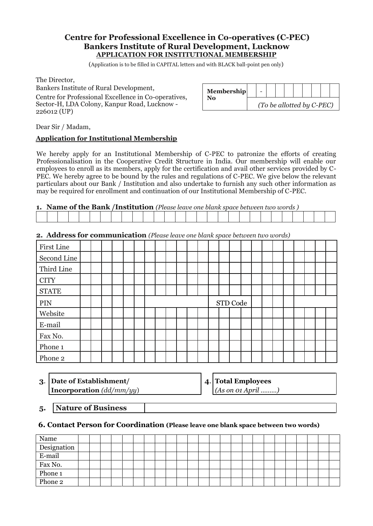# **Centre for Professional Excellence in Co-operatives (C-PEC) Bankers Institute of Rural Development, Lucknow APPLICATION FOR INSTITUTIONAL MEMBERSHIP**

(Application is to be filled in CAPITAL letters and with BLACK ball-point pen only)

The Director,

Bankers Institute of Rural Development, Centre for Professional Excellence in Co-operatives, Sector-H, LDA Colony, Kanpur Road, Lucknow - 226012 (UP)

| <b>Membership</b> |                           |  |  |  |  |
|-------------------|---------------------------|--|--|--|--|
| No                | (To be allotted by C-PEC) |  |  |  |  |

Dear Sir / Madam,

## **Application for Institutional Membership**

We hereby apply for an Institutional Membership of C-PEC to patronize the efforts of creating Professionalisation in the Cooperative Credit Structure in India. Our membership will enable our employees to enroll as its members, apply for the certification and avail other services provided by C-PEC. We hereby agree to be bound by the rules and regulations of C-PEC. We give below the relevant particulars about our Bank / Institution and also undertake to furnish any such other information as may be required for enrollment and continuation of our Institutional Membership of C-PEC.

## **1. Name of the Bank /Institution** *(Please leave one blank space between two words )*

|  |  | <b>2. Address for communication</b> (Please leave one blank space between two words) |  |  |  |  |  |  |  |
|--|--|--------------------------------------------------------------------------------------|--|--|--|--|--|--|--|
|--|--|--------------------------------------------------------------------------------------|--|--|--|--|--|--|--|

| First Line   |  |  |  |  |  |  |  |          |  |  |  |  |  |
|--------------|--|--|--|--|--|--|--|----------|--|--|--|--|--|
| Second Line  |  |  |  |  |  |  |  |          |  |  |  |  |  |
| Third Line   |  |  |  |  |  |  |  |          |  |  |  |  |  |
| <b>CITY</b>  |  |  |  |  |  |  |  |          |  |  |  |  |  |
| <b>STATE</b> |  |  |  |  |  |  |  |          |  |  |  |  |  |
| PIN          |  |  |  |  |  |  |  | STD Code |  |  |  |  |  |
| Website      |  |  |  |  |  |  |  |          |  |  |  |  |  |
| E-mail       |  |  |  |  |  |  |  |          |  |  |  |  |  |
| Fax No.      |  |  |  |  |  |  |  |          |  |  |  |  |  |
| Phone 1      |  |  |  |  |  |  |  |          |  |  |  |  |  |
| Phone 2      |  |  |  |  |  |  |  |          |  |  |  |  |  |

**3**. **Date of Establishment/ 4**. **Total Employees Incorporation** *(dd/mm/yy*) *(As on 01 April ………)*

**5. Nature of Business**

## **6. Contact Person for Coordination (Please leave one blank space between two words)**

| Name        |  |  |  |  |  |  |  |  |  |  |  |  |
|-------------|--|--|--|--|--|--|--|--|--|--|--|--|
| Designation |  |  |  |  |  |  |  |  |  |  |  |  |
| E-mail      |  |  |  |  |  |  |  |  |  |  |  |  |
| Fax No.     |  |  |  |  |  |  |  |  |  |  |  |  |
| Phone 1     |  |  |  |  |  |  |  |  |  |  |  |  |
| Phone 2     |  |  |  |  |  |  |  |  |  |  |  |  |